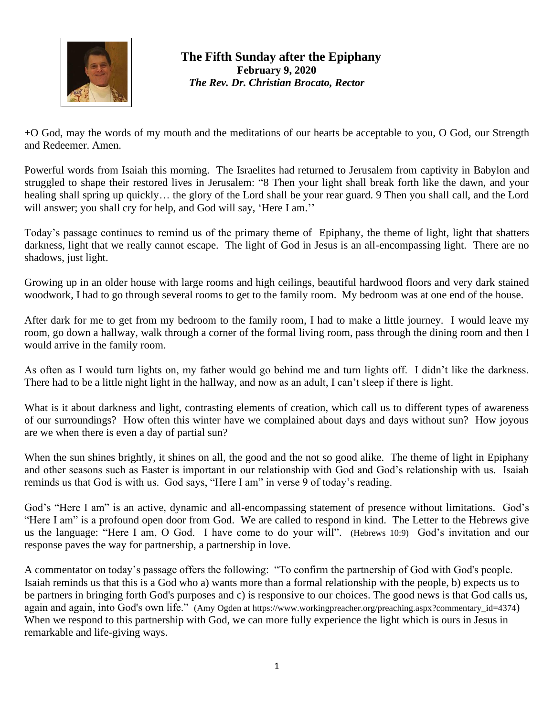

## **The Fifth Sunday after the Epiphany February 9, 2020** *The Rev. Dr. Christian Brocato, Rector*

+O God, may the words of my mouth and the meditations of our hearts be acceptable to you, O God, our Strength and Redeemer. Amen.

Powerful words from Isaiah this morning. The Israelites had returned to Jerusalem from captivity in Babylon and struggled to shape their restored lives in Jerusalem: "8 Then your light shall break forth like the dawn, and your healing shall spring up quickly… the glory of the Lord shall be your rear guard. 9 Then you shall call, and the Lord will answer; you shall cry for help, and God will say, 'Here I am.''

Today's passage continues to remind us of the primary theme of Epiphany, the theme of light, light that shatters darkness, light that we really cannot escape. The light of God in Jesus is an all-encompassing light. There are no shadows, just light.

Growing up in an older house with large rooms and high ceilings, beautiful hardwood floors and very dark stained woodwork, I had to go through several rooms to get to the family room. My bedroom was at one end of the house.

After dark for me to get from my bedroom to the family room, I had to make a little journey. I would leave my room, go down a hallway, walk through a corner of the formal living room, pass through the dining room and then I would arrive in the family room.

As often as I would turn lights on, my father would go behind me and turn lights off. I didn't like the darkness. There had to be a little night light in the hallway, and now as an adult, I can't sleep if there is light.

What is it about darkness and light, contrasting elements of creation, which call us to different types of awareness of our surroundings? How often this winter have we complained about days and days without sun? How joyous are we when there is even a day of partial sun?

When the sun shines brightly, it shines on all, the good and the not so good alike. The theme of light in Epiphany and other seasons such as Easter is important in our relationship with God and God's relationship with us. Isaiah reminds us that God is with us. God says, "Here I am" in verse 9 of today's reading.

God's "Here I am" is an active, dynamic and all-encompassing statement of presence without limitations. God's "Here I am" is a profound open door from God. We are called to respond in kind. The Letter to the Hebrews give us the language: "Here I am, O God. I have come to do your will". (Hebrews 10:9) God's invitation and our response paves the way for partnership, a partnership in love.

A commentator on today's passage offers the following: "To confirm the partnership of God with God's people. Isaiah reminds us that this is a God who a) wants more than a formal relationship with the people, b) expects us to be partners in bringing forth God's purposes and c) is responsive to our choices. The good news is that God calls us, again and again, into God's own life." (Amy Ogden at [https://www.workingpreacher.org/preaching.aspx?commentary\\_id=4374](https://www.workingpreacher.org/preaching.aspx?commentary_id=4374)) When we respond to this partnership with God, we can more fully experience the light which is ours in Jesus in remarkable and life-giving ways.